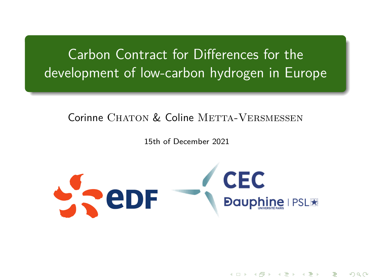<span id="page-0-0"></span>Carbon Contract for Differences for the development of low-carbon hydrogen in Europe

#### Corinne CHATON & Coline METTA-VERSMESSEN

15th of December 2021



K ロ K K d K K K X X X X X X X X X X X

 $290$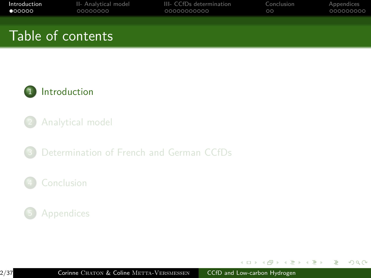<span id="page-1-0"></span>

| Introduction      | II- Analytical model | III- CCfDs determination | Conclusion | Appendices |
|-------------------|----------------------|--------------------------|------------|------------|
| $\bullet$ 00000   | 00000000             | 00000000000              | $\circ$    | 000000000  |
| Table of contents |                      |                          |            |            |



- 2 [Analytical model](#page-7-0)
- 3 [Determination of French and German CCfDs](#page-15-0)

#### **[Conclusion](#page-26-0)**



 $\mathcal{A} \ \overline{\mathcal{B}} \ \rightarrow \ \mathcal{A} \ \overline{\mathcal{B}} \ \rightarrow$ 

4 17 18

 $\overline{AB}$ 

 $2Q$ 

э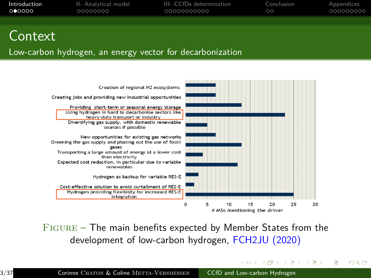| Introduction   | II- Analytical model | III- CCfDs determination | Conclusion | Appendices |
|----------------|----------------------|--------------------------|------------|------------|
| <b>. റൈറററ</b> | 00000000             | 00000000000              | $\circ$    | 000000000  |
|                |                      |                          |            |            |

### Context

#### Low-carbon hydrogen, an energy vector for decarbonization



 $FIGURE - The main benefits expected by Member States from the$ development of low-carbon hydrogen, FCH2JU (2020)

イロメ イ押メ イヨメ イヨメ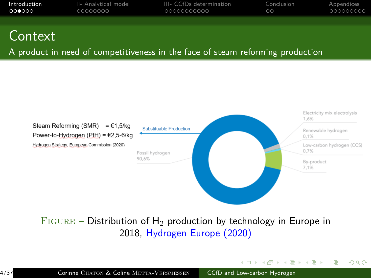| Introduction | II- Analytical model | III- CCfDs determination | Conclusion | Appendices |
|--------------|----------------------|--------------------------|------------|------------|
| റററേററ       | 00000000             | 00000000000              | $\circ$    | _000000000 |
|              |                      |                          |            |            |

### Context

A product in need of competitiveness in the face of steam reforming production



 $FIGURE - Distribution of H<sub>2</sub> production by technology in Europe in$ 2018, Hydrogen Europe (2020)

イロン イ押ン イヨン イヨン

 $\Omega$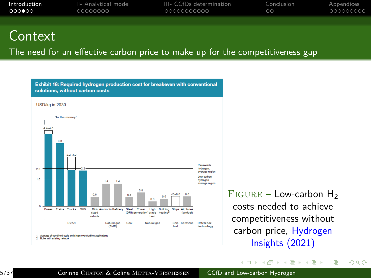| Introduction | II- Analytical model | III- CCfDs determination | Conclusion | Appendices |
|--------------|----------------------|--------------------------|------------|------------|
| 000000       | 00000000             | 00000000000              | ററ         | 000000000  |
|              |                      |                          |            |            |

### **Context**

The need for an effective carbon price to make up for the competitiveness gap



 $FIGURE - Low-carbon H<sub>2</sub>$ costs needed to achieve competitiveness without carbon price, Hydrogen Insights (2021)

∢ロ ▶ ∢何 ▶ ∢ ヨ ▶ ∢ ヨ ▶

 $\Omega$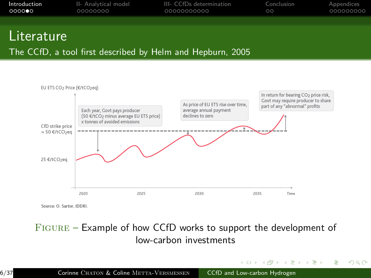| Introduction | II- Analytical model | III- CCfDs determination | Conclusion | Appendices |
|--------------|----------------------|--------------------------|------------|------------|
| റററൈ∙െ       | 00000000             | 00000000000              | ററ         | 000000000  |
|              |                      |                          |            |            |

### **Literature**

The CCfD, a tool first described by Helm and Hepburn, 2005



Source: O. Sartor. IDDRI.

#### Figure – Example of how CCfD works to support the development of low-carbon investments

イロン イ何 メスミン イヨン

 $\Omega$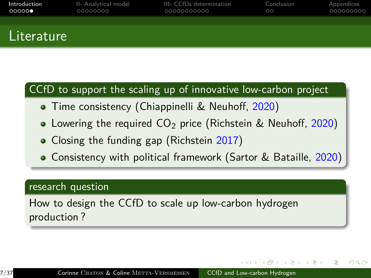| Introduction<br>00000 | II- Analytical model<br>00000000 | III- CCfDs determination<br>00000000000 | Conclusion<br>$\circ$ | Appendices<br>000000000 |
|-----------------------|----------------------------------|-----------------------------------------|-----------------------|-------------------------|
|                       |                                  |                                         |                       |                         |
| .                     |                                  |                                         |                       |                         |

### CCfD to support the scaling up of innovative low-carbon project

- **•** Time consistency (Chiappinelli & Neuhoff, 2020)
- Lowering the required  $CO<sub>2</sub>$  price (Richstein & Neuhoff, 2020)
- Closing the funding gap (Richstein 2017)
- Consistency with political framework (Sartor & Bataille, 2020)

#### research question

Literature

How to design the CCfD to scale up low-carbon hydrogen production ?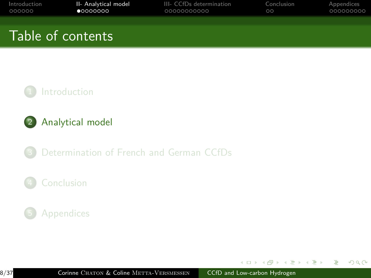<span id="page-7-0"></span>

| Introduction | II- Analytical model | III- CCfDs determination | Conclusion | Appendices |
|--------------|----------------------|--------------------------|------------|------------|
| 000000       | •0000000             | 00000000000              | $\circ$    | 000000000  |
|              | Table of contents '  |                          |            |            |





3 [Determination of French and German CCfDs](#page-15-0)

#### **[Conclusion](#page-26-0)**

#### **[Appendices](#page-28-0)**

 $\mathcal{A} \ \overline{\mathcal{B}} \ \rightarrow \ \mathcal{A} \ \overline{\mathcal{B}} \ \rightarrow$ 

4 17 18

 $\overline{AB}$ 

 $2Q$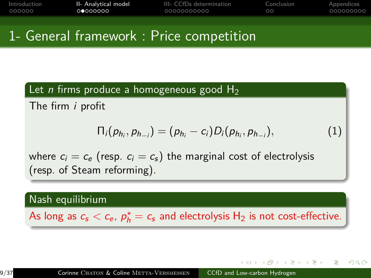| Introduction | II- Analytical model | III- CCfDs determination | Conclusion | Appendices |
|--------------|----------------------|--------------------------|------------|------------|
| 000000       | . റൈററററ             | 00000000000              | $\circ$    | .000000000 |
|              |                      |                          |            |            |

### 1- General framework : Price competition

#### Let *n* firms produce a homogeneous good  $H_2$

The firm i profit

$$
\Pi_i(p_{h_i}, p_{h_{-i}}) = (p_{h_i} - c_i)D_i(p_{h_i}, p_{h_{-i}}), \qquad (1)
$$

where  $c_i = c_e$  (resp.  $c_i = c_s$ ) the marginal cost of electrolysis (resp. of Steam reforming).

Nash equilibrium

As long as  $c_{\mathsf{s}} < c_{\mathsf{e}}$ ,  $\rho_h^{\star} = c_{\mathsf{s}}$  and electrolysis  $\mathsf{H}_2$  is not cost-effective.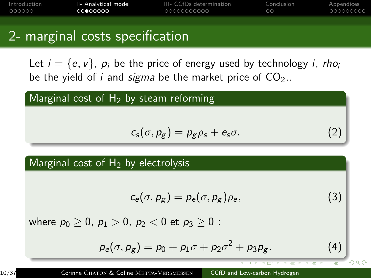| Introduction | II- Analytical model | III- CCfDs determination | Conclusion | Appendices |
|--------------|----------------------|--------------------------|------------|------------|
| 000000       | 00000000             | 00000000000              | ററ         | 000000000  |
|              |                      |                          |            |            |

### 2- marginal costs specification

Let  $i = \{e, v\}$ ,  $p_i$  be the price of energy used by technology *i*, rho<sub>i</sub> be the yield of *i* and *sigma* be the market price of  $CO<sub>2</sub>$ .

#### Marginal cost of  $H_2$  by steam reforming

$$
c_s(\sigma, p_g) = p_g \rho_s + e_s \sigma.
$$
 (2)

#### Marginal cost of  $H_2$  by electrolysis

$$
c_e(\sigma, p_g) = p_e(\sigma, p_g) \rho_e, \qquad (3)
$$

where  $p_0 > 0$ ,  $p_1 > 0$ ,  $p_2 < 0$  et  $p_3 > 0$ :

$$
p_e(\sigma, p_g) = p_0 + p_1 \sigma + p_2 \sigma^2 + p_3 p_g. \tag{4}
$$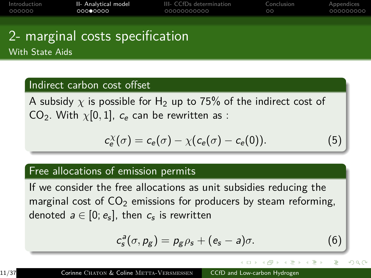| Introduction | II- Analytical model | III- CCfDs determination | Conclusion | Appendices |
|--------------|----------------------|--------------------------|------------|------------|
| 000000       | 000000000            | 00000000000              | $\circ$    | 000000000  |
|              |                      |                          |            |            |

### 2- marginal costs specification With State Aids

#### Indirect carbon cost offset

A subsidy  $\chi$  is possible for H<sub>2</sub> up to 75% of the indirect cost of CO<sub>2</sub>. With  $\chi$ [0, 1],  $c_e$  can be rewritten as :

$$
c_e^{\chi}(\sigma) = c_e(\sigma) - \chi(c_e(\sigma) - c_e(0)). \tag{5}
$$

#### Free allocations of emission permits

If we consider the free allocations as unit subsidies reducing the marginal cost of  $CO<sub>2</sub>$  emissions for producers by steam reforming, denoted  $\emph{a} \in [0;e_{\emph{s}}]$ , then  $\emph{c}_{\emph{s}}$  is rewritten

$$
c_s^a(\sigma, p_g) = p_g \rho_s + (e_s - a)\sigma.
$$
 (6)

 $\rightarrow$   $\overline{m}$   $\rightarrow$   $\rightarrow$   $\overline{m}$   $\rightarrow$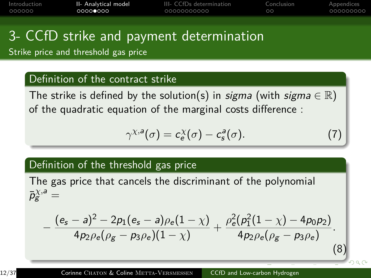<span id="page-11-0"></span>

| Introduction | II- Analytical model | III- CCfDs determination | Conclusion | Appendices |
|--------------|----------------------|--------------------------|------------|------------|
| 000000       | 0000●000             | 00000000000              | ററ         | .000000000 |
|              |                      |                          |            |            |

# 3- CCfD strike and payment determination

Strike price and threshold gas price

#### Definition of the contract strike

The strike is defined by the solution(s) in *sigma* (with sigma  $\in \mathbb{R}$ ) of the quadratic equation of the marginal costs difference :

<span id="page-11-1"></span>
$$
\gamma^{\chi,\mathsf{a}}(\sigma) = c_{\mathsf{e}}^{\chi}(\sigma) - c_{\mathsf{s}}^{\mathsf{a}}(\sigma). \tag{7}
$$

(8)

#### Definition of the threshold gas price

The gas price that cancels the discriminant of the polynomial  $\bar{p}^{\chi,a}_{\mathrm{g}} =$ 

$$
-\frac{(e_s-a)^2-2p_1(e_s-a)\rho_e(1-\chi)}{4p_2\rho_e(\rho_g-p_3\rho_e)(1-\chi)}+\frac{\rho_e^2(\rho_1^2(1-\chi)-4p_0p_2)}{4p_2\rho_e(\rho_g-p_3\rho_e)}.
$$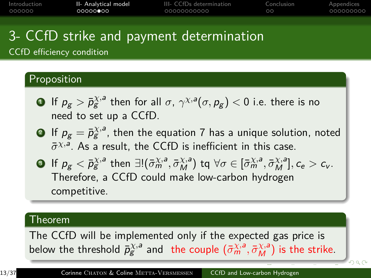<span id="page-12-0"></span>

| Introduction | II- Analytical model | III- CCfDs determination | Conclusion | Appendices |
|--------------|----------------------|--------------------------|------------|------------|
| 000000       | ററററാ∙ോറ             | 00000000000              | ററ         | 000000000  |
|              |                      |                          |            |            |

# 3- CCfD strike and payment determination

CCfD efficiency condition

#### Proposition

- $\bullet$  If  $\rho_g > \bar p_g^{\chi,a}$  then for all  $\sigma, \, \gamma^{\chi,a}(\sigma, \rho_g) < 0$  i.e. there is no need to set up a CCfD.
- $\mathbf{P}$  If  $p_{\mathcal{g}}=\bar{p}^{\chi,a}_{\mathcal{g}}$ , then the equation [7](#page-11-1) has a unique solution, noted  $\bar{\sigma}^{\chi,a}$ . As a result, the CCfD is inefficient in this case.
- **3** If  $p_g < \bar{p}_g^{\chi,a}$  then  $\exists! (\bar{\sigma}_m^{\chi,a}, \bar{\sigma}_M^{\chi,a})$  tq  $\forall \sigma \in [\bar{\sigma}_m^{\chi,a}, \bar{\sigma}_M^{\chi,a}], c_e > c_v$ . Therefore, a CCfD could make low-carbon hydrogen competitive.

#### Theorem

The CCfD will be implemented only if the expected gas price is below the threshold  $\bar{p}_{g}^{\chi,a}$  and the couple  $(\bar{\sigma}_{m}^{\chi,a},\bar{\sigma}_{M}^{\chi,a})$  $(\bar{\sigma}_{m}^{\chi,a},\bar{\sigma}_{M}^{\chi,a})$  $(\bar{\sigma}_{m}^{\chi,a},\bar{\sigma}_{M}^{\chi,a})$  is the strike.

 $299$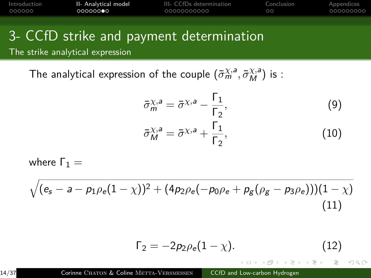<span id="page-13-0"></span>

| Introduction | II- Analytical model | III- CCfDs determination | Conclusion | Appendices |
|--------------|----------------------|--------------------------|------------|------------|
| 000000       | 00000000             | _00000000000             | ററ         | -000000000 |

# 3- CCfD strike and payment determination

The strike analytical expression

The analytical expression of the couple  $(\bar{\sigma}_{m}^{\chi,a},\bar{\sigma}_{M}^{\chi,a})$  is :

$$
\bar{\sigma}_{m}^{\chi,a} = \bar{\sigma}^{\chi,a} - \frac{\Gamma_{1}}{\Gamma_{2}},
$$
\n
$$
\bar{\sigma}_{M}^{\chi,a} = \bar{\sigma}^{\chi,a} + \frac{\Gamma_{1}}{\Gamma_{2}},
$$
\n(10)

where  $Γ_1 =$ 

<span id="page-13-1"></span>
$$
\sqrt{(e_s-a-p_1\rho_e(1-\chi))^2+(4p_2\rho_e(-p_0\rho_e+p_g(\rho_g-p_3\rho_e)))(1-\chi)}
$$
\n(11)

<span id="page-13-2"></span>
$$
\Gamma_2 = -2p_2 \rho_e (1 - \chi). \tag{12}
$$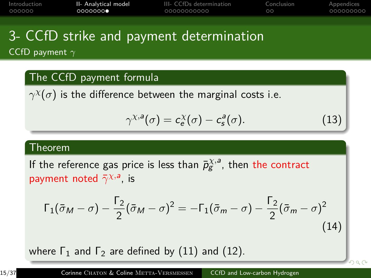| Introduction | II- Analytical model | III- CCfDs determination | Conclusion | Appendices |
|--------------|----------------------|--------------------------|------------|------------|
| 000000       | 0000000              | 00000000000              | $\circ$    | .000000000 |
|              |                      |                          |            |            |

### 3- CCfD strike and payment determination CCfD payment *γ*

#### The CCfD payment formula

 $\gamma^\chi(\sigma)$  is the difference between the marginal costs i.e.

$$
\gamma^{\chi,\mathsf{a}}(\sigma) = c_{\mathsf{e}}^{\chi}(\sigma) - c_{\mathsf{s}}^{\mathsf{a}}(\sigma). \tag{13}
$$

 $0Q$ 

#### Theorem

If the reference gas price is less than  $\bar{p}_{g}^{\chi,a}$ , then the contract payment noted  $\bar{\gamma}^{\chi,a}$ , is

$$
\Gamma_1(\bar{\sigma}_M - \sigma) - \frac{\Gamma_2}{2}(\bar{\sigma}_M - \sigma)^2 = -\Gamma_1(\bar{\sigma}_m - \sigma) - \frac{\Gamma_2}{2}(\bar{\sigma}_m - \sigma)^2
$$
\n(14)

where  $\Gamma_1$  and  $\Gamma_2$  are defined by [\(11\)](#page-13-1) and [\(12\)](#page-13-2).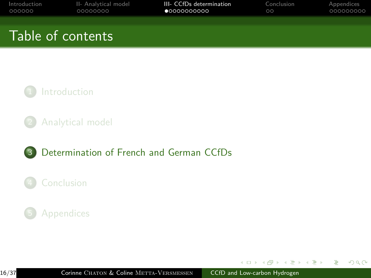<span id="page-15-0"></span>

| Introduction | II- Analytical model | III- CCfDs determination | Conclusion | Appendices |
|--------------|----------------------|--------------------------|------------|------------|
| 000000       | 00000000             | $\bullet$ 0000000000     | $\circ$    | 000000000  |
|              | Table of contents    |                          |            |            |



2 [Analytical model](#page-7-0)

#### 3 [Determination of French and German CCfDs](#page-15-0)

#### **[Conclusion](#page-26-0)**

#### **[Appendices](#page-28-0)**

 $\leftarrow$   $\Box$   $\rightarrow$ 

 $\mathcal{A} \oplus \mathcal{B}$  ) and  $\mathcal{B} \oplus \mathcal{B}$  and  $\mathcal{B} \oplus \mathcal{B}$ 

 $2Q$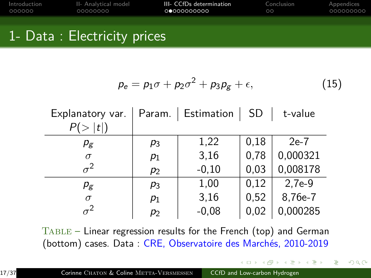| Introduction | II- Analytical model | III- CCfDs determination | Conclusion | Appendices |
|--------------|----------------------|--------------------------|------------|------------|
| 000000       | 00000000             | 00000000000              | $\circ$    | 000000000  |
|              |                      |                          |            |            |

### 1- Data : Electricity prices

$$
p_e = p_1 \sigma + p_2 \sigma^2 + p_3 p_g + \epsilon, \qquad (15)
$$

 $\left\{ \left\vert \left\{ \bar{q}\right\} \right\vert :q\left\vert \bar{q}\right\vert \right\} \rightarrow \left\{ \left\vert \bar{q}\right\vert :q\left\vert \bar{q}\right\vert \right\}$ 

 $2Q$ 

| Explanatory var. |                | Param.   Estimation   SD |      | t-value  |
|------------------|----------------|--------------------------|------|----------|
| P(> t )          |                |                          |      |          |
| $p_{\rm g}$      | $p_3$          | 1,22                     | 0.18 | $2e-7$   |
| $\sigma$         | $p_1$          | 3,16                     | 0,78 | 0,000321 |
| $\sigma^2$       | $p_2$          | $-0,10$                  | 0,03 | 0,008178 |
| $p_{\rm g}$      | p <sub>3</sub> | 1,00                     | 0,12 | $2,7e-9$ |
| $\sigma$         | $p_1$          | 3,16                     | 0,52 | 8,76e-7  |
| $\sigma^2$       | $p_2$          | $-0,08$                  | 0,02 | 0,000285 |

Table – Linear regression results for the French (top) and German (bottom) cases. Data : CRE, Observatoire des Marchés, 2010-2019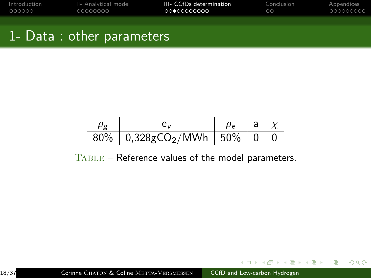| Introduction | II- Analytical model | III- CCfDs determination | Conclusion | Appendices |
|--------------|----------------------|--------------------------|------------|------------|
| 000000       | 00000000             | 00000000000              | ററ         | 000000000  |
|              |                      |                          |            |            |

# 1- Data : other parameters

*ρ*<sup>g</sup> e<sup>v</sup> *ρ*<sup>e</sup> a *χ* 80% 0,328gCO2/MWh 50% 0 0

Table – Reference values of the model parameters.

 $299$ 

目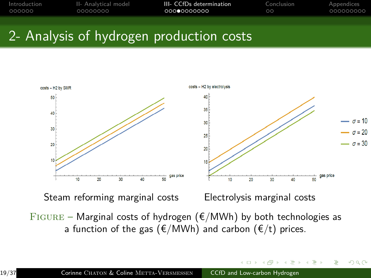| Introduction | II- Analytical model | III- CCfDs determination | Conclusion | Appendices |
|--------------|----------------------|--------------------------|------------|------------|
| 000000       | 00000000             | 00000000000              | $\circ$    | 000000000  |
|              |                      |                          |            |            |



FIGURE – Marginal costs of hydrogen ( $E/MWh$ ) by both technologies as a function of the gas ( $E/MWh$ ) and carbon ( $E/t$ ) prices.

 $290$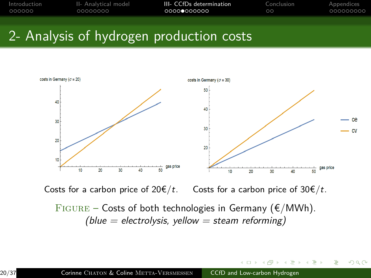| Introduction | II- Analytical model | III- CCfDs determination | Conclusion | Appendices |
|--------------|----------------------|--------------------------|------------|------------|
| 000000       | 00000000             | 00000000000              | $\circ$    | 000000000  |
|              |                      |                          |            |            |



Costs for a carbon price of  $20 \in /t$ . Costs for a carbon price of  $30 \in /t$ .

FIGURE – Costs of both technologies in Germany ( $\epsilon/MWh$ ).  $(blue = electrolysis, yellow = steam reforming)$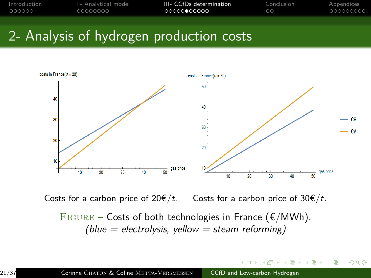| Introduction | II- Analytical model | III- CCfDs determination | Conclusion | Appendices |
|--------------|----------------------|--------------------------|------------|------------|
| 000000       | 00000000             | 00000000000              | $\circ$    | 000000000  |
|              |                      |                          |            |            |



Costs for a carbon price of  $20 \notin /t$ . Costs for a carbon price of  $30 \notin /t$ .

FIGURE – Costs of both technologies in France ( $\epsilon/MWh$ ). (blue = electrolysis, yellow = steam reforming)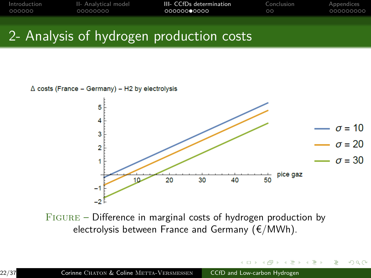| Introduction | II- Analytical model | III- CCfDs determination | Conclusion | Appendices |
|--------------|----------------------|--------------------------|------------|------------|
| 000000       | 00000000             | 000000000000             | $\circ$    | _000000000 |
|              |                      |                          |            |            |





 $299$ 

Figure – Difference in marginal costs of hydrogen production by electrolysis between France and Germany ( $E/MWh$ ).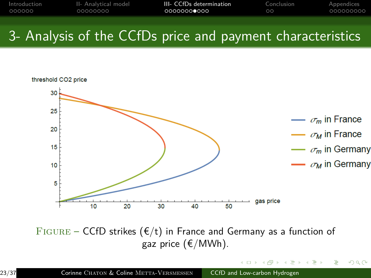| Introduction | II- Analytical model | III- CCfDs determination | Conclusion | Appendices |
|--------------|----------------------|--------------------------|------------|------------|
| 000000       | 00000000             | 00000000000              | $\circ$    | 000000000  |
|              |                      |                          |            |            |



FIGURE – CCfD strikes ( $E/t$ ) in France and Germany as a function of gaz price (€/MWh).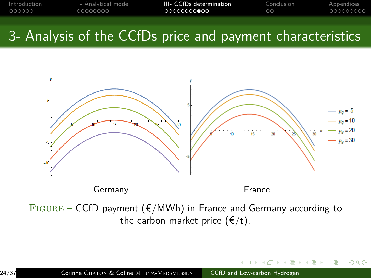| Introduction | II- Analytical model | III- CCfDs determination | Conclusion | Appendices |
|--------------|----------------------|--------------------------|------------|------------|
| 000000       | 00000000             | , ∩∩∩∩∩∩∩∩●∩∩            | ററ         | 000000000  |
|              |                      |                          |            |            |



 $FIGURE - CCFD$  payment ( $E/MWh$ ) in France and Germany according to the carbon market price  $(\epsilon/t)$ .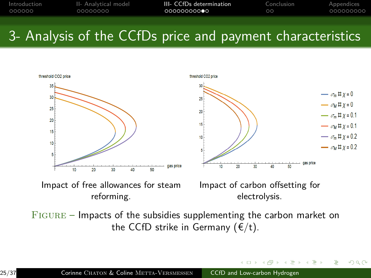| Introduction | II- Analytical model | III- CCfDs determination | Conclusion | Appendices |
|--------------|----------------------|--------------------------|------------|------------|
| 000000       | 00000000             | 00000000000              | ം ക        | 000000000  |
|              |                      |                          |            |            |



Figure – Impacts of the subsidies supplementing the carbon market on the CCfD strike in Germany  $(\epsilon/t)$ .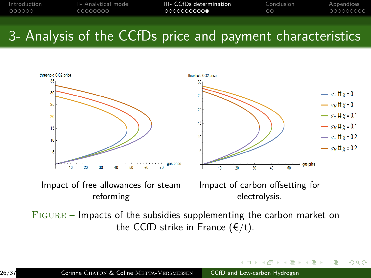| Introduction | II- Analytical model | III- CCfDs determination | Conclusion | Appendices |
|--------------|----------------------|--------------------------|------------|------------|
| 000000       | 00000000             | 0000000000               | ററ         | 000000000  |
|              |                      |                          |            |            |



Figure – Impacts of the subsidies supplementing the carbon market on the CCfD strike in France  $(\epsilon/t)$ .

 $QQ$ 

 $\rightarrow$   $\equiv$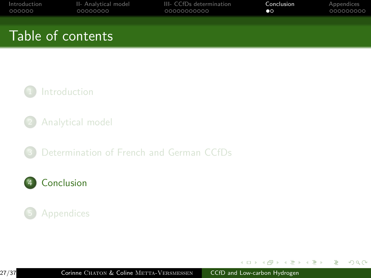<span id="page-26-0"></span>

| Introduction<br>000000 | II- Analytical model<br>00000000 | III- CCfDs determination<br>00000000000 | Conclusion<br>$\bullet$ | Appendices<br>000000000 |
|------------------------|----------------------------------|-----------------------------------------|-------------------------|-------------------------|
|                        | Table of contents                |                                         |                         |                         |
|                        |                                  |                                         |                         |                         |

#### **[Introduction](#page-1-0)**

- 2 [Analytical model](#page-7-0)
- 3 [Determination of French and German CCfDs](#page-15-0)

### 4 [Conclusion](#page-26-0)

### **[Appendices](#page-28-0)**

4 17 18

 $\sim$  $\leftarrow$   $\equiv$  $\sim$ 化重压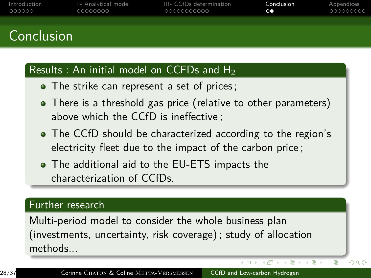| Introduction | II- Analytical model | III- CCfDs determination | Conclusion      | Appendices |
|--------------|----------------------|--------------------------|-----------------|------------|
| 000000       | 00000000             | 00000000000              | $\circ \bullet$ | 000000000  |
|              |                      |                          |                 |            |
|              |                      |                          |                 |            |

### Conclusion

#### Results : An initial model on CCFDs and  $H_2$

- The strike can represent a set of prices;
- There is a threshold gas price (relative to other parameters) above which the CCfD is ineffective ;
- The CCfD should be characterized according to the region's electricity fleet due to the impact of the carbon price ;
- The additional aid to the EU-ETS impacts the characterization of CCfDs.

#### Further research

Multi-period model to consider the whole business plan (investments, uncertainty, risk coverage) ; study of allocation methods...

→ 手下→ 手下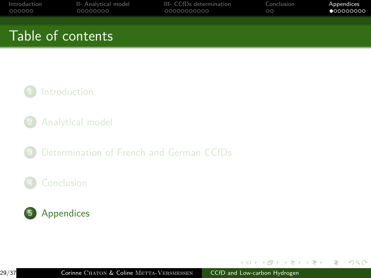<span id="page-28-0"></span>

| Introduction<br>000000 | II- Analytical model<br>00000000 | III- CCfDs determination<br>00000000000 | Conclusion<br>$\circ$ | Appendices<br>•000000000 |
|------------------------|----------------------------------|-----------------------------------------|-----------------------|--------------------------|
|                        | Table of contents                |                                         |                       |                          |
|                        |                                  |                                         |                       |                          |

#### **[Introduction](#page-1-0)**

- 2 [Analytical model](#page-7-0)
- 3 [Determination of French and German CCfDs](#page-15-0)

### **[Conclusion](#page-26-0)**



4 17 18

 $\sim$  $\leftarrow$   $\equiv$  $\sim$ 化重压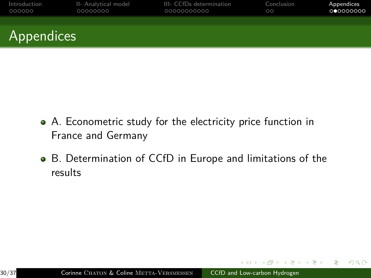| Introduction | II- Analytical model | III- CCfDs determination | Conclusion | Appendices |
|--------------|----------------------|--------------------------|------------|------------|
| 000000       | 00000000             | 00000000000              | $\circ$    | 000000000  |
| Appendices   |                      |                          |            |            |

- A. Econometric study for the electricity price function in France and Germany
- B. Determination of CCfD in Europe and limitations of the results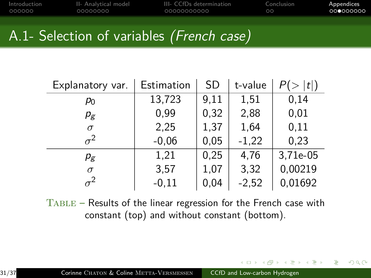| Introduction | II- Analytical model | III- CCfDs determination | Conclusion | Appendices |
|--------------|----------------------|--------------------------|------------|------------|
| 000000       | 00000000             | 00000000000              | ററ         | 000000000  |
|              |                      |                          |            |            |

# A.1- Selection of variables (French case)

| Explanatory var. | Estimation | <b>SD</b> | t-value | t        |
|------------------|------------|-----------|---------|----------|
| $p_0$            | 13,723     | 9,11      | 1,51    | 0,14     |
| $p_{\rm g}$      | 0,99       | 0,32      | 2,88    | 0,01     |
| $\sigma$         | 2,25       | 1,37      | 1,64    | 0,11     |
| $\sigma^2$       | $-0,06$    | 0,05      | $-1,22$ | 0,23     |
| $p_{\rm g}$      | 1,21       | 0,25      | 4,76    | 3,71e-05 |
| $\sigma$         | 3,57       | 1,07      | 3,32    | 0,00219  |
| $\sigma^2$       | $-0,11$    | 0,04      | $-2,52$ | 0,01692  |

Table – Results of the linear regression for the French case with constant (top) and without constant (bottom).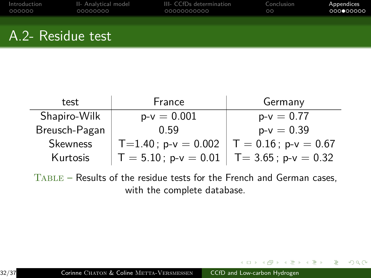| Introduction | II- Analytical model | III- CCfDs determination | Conclusion | Appendices |
|--------------|----------------------|--------------------------|------------|------------|
| 000000       | LOQQQQQQQ            | 00000000000              | $\circ$    | 000000000  |
|              |                      |                          |            |            |
|              |                      |                          |            |            |

### A.2- Residue test

| test            | France                                        | Germany      |
|-----------------|-----------------------------------------------|--------------|
| Shapiro-Wilk    | $p-v = 0.001$                                 | $p-v = 0.77$ |
| Breusch-Pagan   | 0.59                                          | $p-v = 0.39$ |
| <b>Skewness</b> | T=1.40; p-v = 0.002   T = 0.16; p-v = 0.67    |              |
| Kurtosis        | $T = 5.10$ ; p-v = 0.01   T= 3.65; p-v = 0.32 |              |

Table – Results of the residue tests for the French and German cases, with the complete database.

 $299$ 

э

**母 → → ヨ**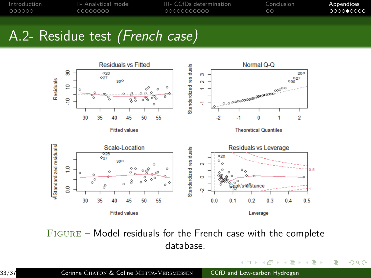| Introduction | II- Analytical model | III- CCfDs determination | Conclusion | Appendices |
|--------------|----------------------|--------------------------|------------|------------|
| 000000       | 00000000             | _00000000000             | $\circ$    | 0000000000 |
|              |                      |                          |            |            |

# A.2- Residue test (French case)



Figure – Model residuals for the French case with the complete database.

 $\overline{a}$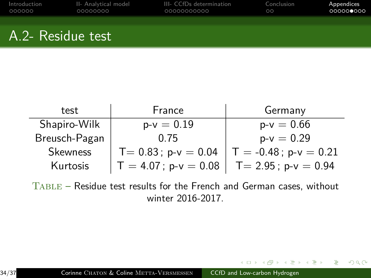| II- Analytical model | III- CCfDs determination | Conclusion | Appendices |
|----------------------|--------------------------|------------|------------|
| 00000000             | 00000000000              | $\circ$    | 000000000  |
|                      |                          |            |            |
|                      |                          |            |            |
|                      |                          |            |            |

### A.2- Residue test

| test          | France                  | Germany                  |
|---------------|-------------------------|--------------------------|
| Shapiro-Wilk  | $p-v = 0.19$            | $p-v = 0.66$             |
| Breusch-Pagan | 0.75                    | $p-v = 0.29$             |
| Skewness      | $T = 0.83$ ; p-v = 0.04 | $T = -0.48$ ; p-v = 0.21 |
| Kurtosis      | $T = 4.07$ ; p-v = 0.08 | $T = 2.95$ ; p-v = 0.94  |

Table – Residue test results for the French and German cases, without winter 2016-2017.

イ何 トマミトマミト

**ALCOHOL:** 

 $299$ 

э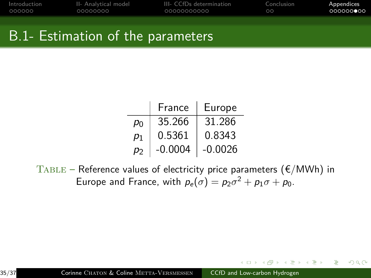| Introduction | II- Analytical model | III- CCfDs determination | Conclusion | Appendices         |
|--------------|----------------------|--------------------------|------------|--------------------|
| 000000       | 00000000             | 00000000000              | ററ         | ∩QQQQQ <b>⊜</b> QQ |
|              |                      |                          |            |                    |

### B.1- Estimation of the parameters

|    | France    | Europe    |
|----|-----------|-----------|
| P٥ | 35.266    | 31.286    |
| p1 | 0.5361    | 0.8343    |
| рŋ | $-0.0004$ | $-0.0026$ |

 $TABLE - Reference values of electricity price parameters ( $\epsilon/MWh$ ) in$ Europe and France, with  $p_e(\sigma) = p_2\sigma^2 + p_1\sigma + p_0$ .

 $299$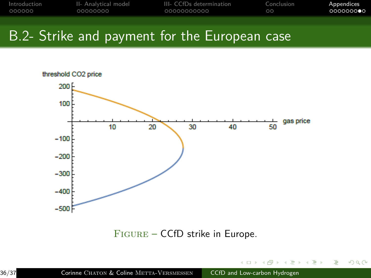| Introduction | II- Analytical model | III- CCfDs determination | Conclusion | Appendices       |
|--------------|----------------------|--------------------------|------------|------------------|
| 000000       | 00000000             | 00000000000              | $\circ$    | െറെററ <b>െ</b> െ |
|              |                      |                          |            |                  |

### B.2- Strike and payment for the European case



Figure – CCfD strike in Europe.

 $290$